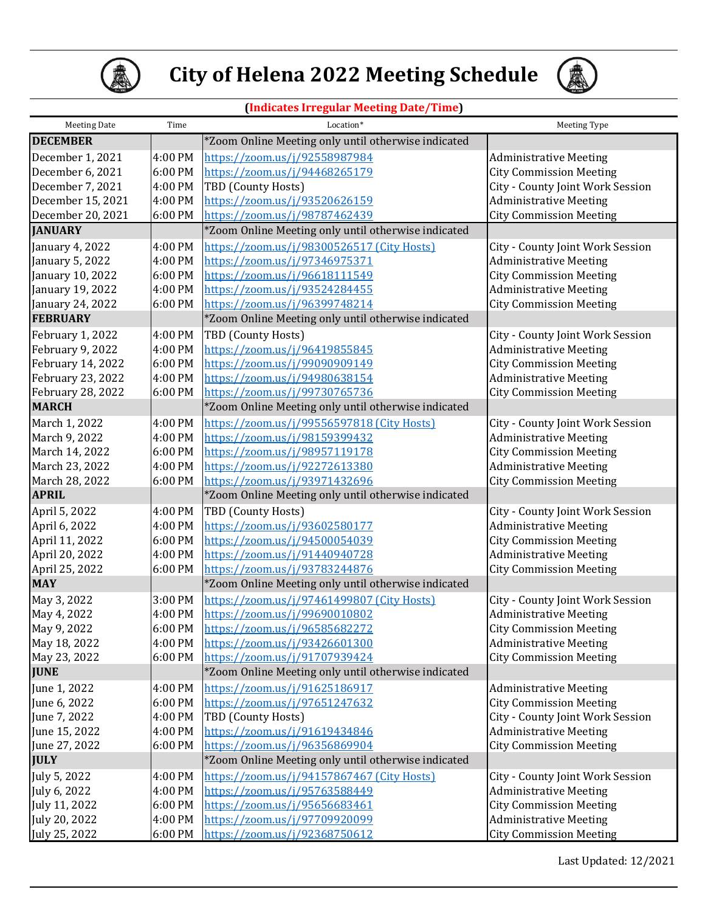



## **(Indicates Irregular Meeting Date/Time)**

| <b>Meeting Date</b> | Time    | Location*                                           | Meeting Type                     |
|---------------------|---------|-----------------------------------------------------|----------------------------------|
| <b>DECEMBER</b>     |         | *Zoom Online Meeting only until otherwise indicated |                                  |
| December 1, 2021    | 4:00 PM | https://zoom.us/j/92558987984                       | <b>Administrative Meeting</b>    |
| December 6, 2021    | 6:00 PM | https://zoom.us/j/94468265179                       | <b>City Commission Meeting</b>   |
| December 7, 2021    | 4:00 PM | TBD (County Hosts)                                  | City - County Joint Work Session |
| December 15, 2021   | 4:00 PM | https://zoom.us/j/93520626159                       | <b>Administrative Meeting</b>    |
| December 20, 2021   | 6:00 PM | https://zoom.us/j/98787462439                       | <b>City Commission Meeting</b>   |
| <b>JANUARY</b>      |         | *Zoom Online Meeting only until otherwise indicated |                                  |
| January 4, 2022     | 4:00 PM | https://zoom.us/j/98300526517 (City Hosts)          | City - County Joint Work Session |
| January 5, 2022     | 4:00 PM | https://zoom.us/j/97346975371                       | <b>Administrative Meeting</b>    |
| January 10, 2022    | 6:00 PM | https://zoom.us/j/96618111549                       | <b>City Commission Meeting</b>   |
| January 19, 2022    | 4:00 PM | https://zoom.us/j/93524284455                       | <b>Administrative Meeting</b>    |
| January 24, 2022    | 6:00 PM | https://zoom.us/j/96399748214                       | <b>City Commission Meeting</b>   |
| <b>FEBRUARY</b>     |         | *Zoom Online Meeting only until otherwise indicated |                                  |
| February 1, 2022    | 4:00 PM | TBD (County Hosts)                                  | City - County Joint Work Session |
| February 9, 2022    | 4:00 PM | https://zoom.us/j/96419855845                       | <b>Administrative Meeting</b>    |
| February 14, 2022   | 6:00 PM | https://zoom.us/j/99090909149                       | <b>City Commission Meeting</b>   |
| February 23, 2022   | 4:00 PM | https://zoom.us/j/94980638154                       | <b>Administrative Meeting</b>    |
| February 28, 2022   | 6:00 PM | https://zoom.us/j/99730765736                       | <b>City Commission Meeting</b>   |
| <b>MARCH</b>        |         | *Zoom Online Meeting only until otherwise indicated |                                  |
| March 1, 2022       | 4:00 PM | https://zoom.us/j/99556597818 (City Hosts)          | City - County Joint Work Session |
| March 9, 2022       | 4:00 PM | https://zoom.us/j/98159399432                       | <b>Administrative Meeting</b>    |
| March 14, 2022      | 6:00 PM | https://zoom.us/j/98957119178                       | <b>City Commission Meeting</b>   |
| March 23, 2022      | 4:00 PM | https://zoom.us/j/92272613380                       | <b>Administrative Meeting</b>    |
| March 28, 2022      | 6:00 PM | https://zoom.us/j/93971432696                       | <b>City Commission Meeting</b>   |
| <b>APRIL</b>        |         | *Zoom Online Meeting only until otherwise indicated |                                  |
| April 5, 2022       | 4:00 PM | TBD (County Hosts)                                  | City - County Joint Work Session |
| April 6, 2022       | 4:00 PM | https://zoom.us/j/93602580177                       | <b>Administrative Meeting</b>    |
| April 11, 2022      | 6:00 PM | https://zoom.us/j/94500054039                       | <b>City Commission Meeting</b>   |
| April 20, 2022      | 4:00 PM | https://zoom.us/j/91440940728                       | <b>Administrative Meeting</b>    |
| April 25, 2022      | 6:00 PM | https://zoom.us/j/93783244876                       | <b>City Commission Meeting</b>   |
| <b>MAY</b>          |         | *Zoom Online Meeting only until otherwise indicated |                                  |
| May 3, 2022         | 3:00 PM | https://zoom.us/j/97461499807 (City Hosts)          | City - County Joint Work Session |
| May 4, 2022         | 4:00 PM | https://zoom.us/j/99690010802                       | <b>Administrative Meeting</b>    |
| May 9, 2022         | 6:00 PM | https://zoom.us/i/96585682272                       | <b>City Commission Meeting</b>   |
| May 18, 2022        | 4:00 PM | https://zoom.us/j/93426601300                       | <b>Administrative Meeting</b>    |
| May 23, 2022        | 6:00 PM | https://zoom.us/j/91707939424                       | <b>City Commission Meeting</b>   |
| <b>JUNE</b>         |         | *Zoom Online Meeting only until otherwise indicated |                                  |
| June 1, 2022        | 4:00 PM | https://zoom.us/j/91625186917                       | <b>Administrative Meeting</b>    |
| June 6, 2022        | 6:00 PM | https://zoom.us/j/97651247632                       | <b>City Commission Meeting</b>   |
| June 7, 2022        | 4:00 PM | TBD (County Hosts)                                  | City - County Joint Work Session |
| June 15, 2022       | 4:00 PM | https://zoom.us/j/91619434846                       | <b>Administrative Meeting</b>    |
| June 27, 2022       | 6:00 PM | https://zoom.us/j/96356869904                       | <b>City Commission Meeting</b>   |
| <b>JULY</b>         |         | *Zoom Online Meeting only until otherwise indicated |                                  |
| July 5, 2022        | 4:00 PM | https://zoom.us/j/94157867467 (City Hosts)          | City - County Joint Work Session |
| July 6, 2022        | 4:00 PM | https://zoom.us/j/95763588449                       | <b>Administrative Meeting</b>    |
| July 11, 2022       | 6:00 PM | https://zoom.us/j/95656683461                       | <b>City Commission Meeting</b>   |
| July 20, 2022       | 4:00 PM | https://zoom.us/j/97709920099                       | <b>Administrative Meeting</b>    |
| July 25, 2022       | 6:00 PM | https://zoom.us/j/92368750612                       | <b>City Commission Meeting</b>   |